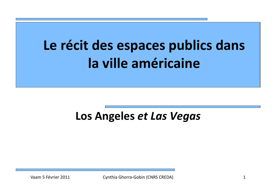# Le récit des espaces publics dans la ville américaine

#### Los Angeles et Las Vegas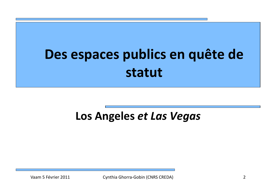# Des espaces publics en quête de statut

#### Los Angeles et Las Vegas

Vaam 5 Février 2011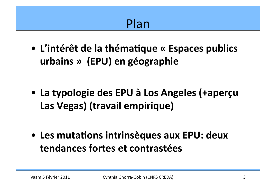## Plan

• L'intérêt de la thématique « Espaces publics urbains » (EPU) en géographie

- La typologie des EPU à Los Angeles (+aperçu Las Vegas) (travail empirique)
- Les mutations intrinsèques aux EPU: deux tendances fortes et contrastées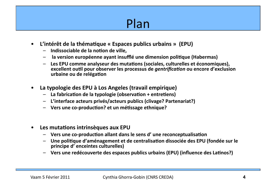## Plan

- L'intérêt de la thématique « Espaces publics urbains » (EPU)
	- Indissociable de la notion de ville.
	- la version européenne ayant insufflé une dimension politique (Habermas)
	- Les EPU comme analyseur des mutations (sociales, culturelles et économiques), excellent outil pour observer les processus de *gentrification* ou encore d'exclusion urbaine ou de relégation
- La typologie des EPU à Los Angeles (travail empirique)
	- La fabrication de la typologie (observation + entretiens)
	- L'interface acteurs privés/acteurs publics (clivage? Partenariat?)
	- Vers une co-production? et un métissage ethnique?
- Les mutations intrinsèques aux EPU  $\bullet$ 
	- Vers une co-production allant dans le sens d'une reconceptualisation
	- Une politique d'aménagement et de centralisation dissociée des EPU (fondée sur le principe d'enceintes culturelles)
	- Vers une redécouverte des espaces publics urbains (EPU) (influence des Latinos?)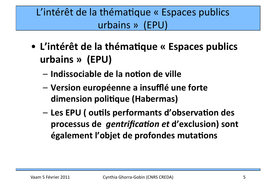### L'intérêt de la thématique « Espaces publics urbains » (EPU)

- L'intérêt de la thématique « Espaces publics urbains » (EPU)
	- Indissociable de la notion de ville
	- Version européenne a insufflé une forte dimension politique (Habermas)
	- Les EPU ( outils performants d'observation des processus de gentrification et d'exclusion) sont également l'objet de profondes mutations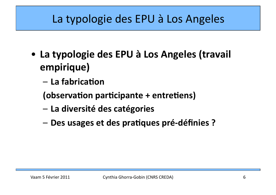### La typologie des EPU à Los Angeles

- La typologie des EPU à Los Angeles (travail empirique)
	- $-$  La fabrication
	- (observation participante + entretiens)
	- La diversité des catégories
	- Des usages et des pratiques pré-définies ?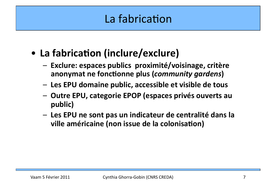## La fabrication

- La fabrication (inclure/exclure)
	- Exclure: espaces publics proximité/voisinage, critère anonymat ne fonctionne plus (community gardens)
	- Les EPU domaine public, accessible et visible de tous
	- Outre EPU, categorie EPOP (espaces privés ouverts au public)
	- Les EPU ne sont pas un indicateur de centralité dans la ville américaine (non issue de la colonisation)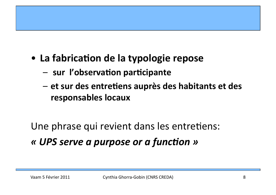- La fabrication de la typologie repose
	- sur l'observation participante
	- et sur des entretiens auprès des habitants et des responsables locaux

Une phrase qui revient dans les entretiens: « UPS serve a purpose or a function »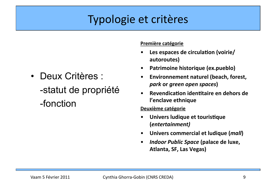## Typologie et critères

#### Première catégorie

- Les espaces de circulation (voirie/ autoroutes)
- Patrimoine historique (ex.pueblo)  $\bullet$
- Environnement naturel (beach, forest,  $\bullet$ park or green open spaces)
- Revendication identitaire en dehors de  $\bullet$ l'enclave ethnique

#### Deuxième catégorie

- Univers ludique et touristique  $\bullet$ (entertainment)
- Univers commercial et ludique (mall)  $\bullet$
- Indoor Public Space (palace de luxe,  $\bullet$ Atlanta, SF, Las Vegas)

• Deux Critères : -statut de propriété -fonction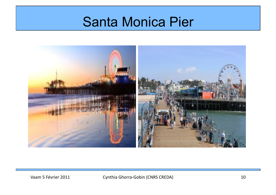## **Santa Monica Pier**

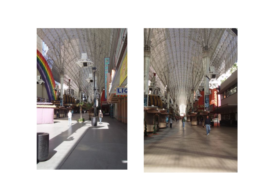

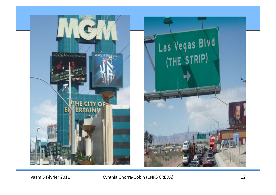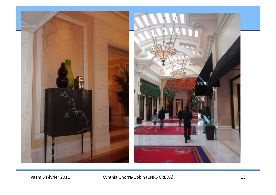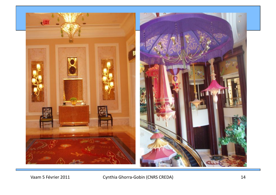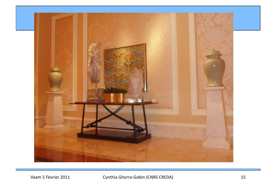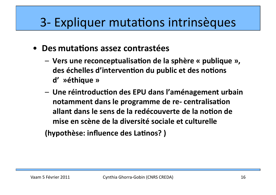## 3- Expliquer mutations intrinsèques

- Des mutations assez contrastées
	- Vers une reconceptualisation de la sphère « publique », des échelles d'intervention du public et des notions d' Ȏthique »
	- Une réintroduction des EPU dans l'aménagement urbain notamment dans le programme de re- centralisation allant dans le sens de la redécouverte de la notion de mise en scène de la diversité sociale et culturelle (hypothèse: influence des Latinos?)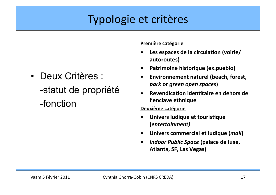## Typologie et critères

#### Première catégorie

- Les espaces de la circulation (voirie/ autoroutes)
- Patrimoine historique (ex.pueblo)  $\bullet$
- Environnement naturel (beach, forest,  $\bullet$ park or green open spaces)
- Revendication identitaire en dehors de  $\bullet$ l'enclave ethnique

#### Deuxième catégorie

- Univers ludique et touristique  $\bullet$ (entertainment)
- Univers commercial et ludique (mall)  $\bullet$
- Indoor Public Space (palace de luxe,  $\bullet$ Atlanta, SF, Las Vegas)

• Deux Critères : -statut de propriété -fonction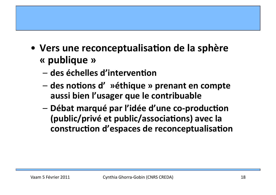- Vers une reconceptualisation de la sphère « publique »
	- des échelles d'intervention
	- $-$  des notions d' $\infty$ éthique » prenant en compte aussi bien l'usager que le contribuable
	- Débat marqué par l'idée d'une co-production (public/privé et public/associations) avec la construction d'espaces de reconceptualisation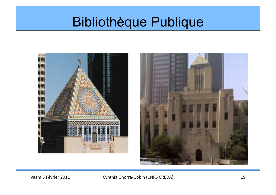## **Bibliothèque Publique**



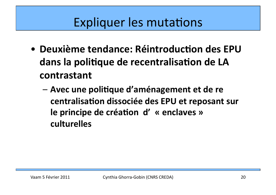## **Expliquer les mutations**

- Deuxième tendance: Réintroduction des EPU dans la politique de recentralisation de LA contrastant
	- Avec une politique d'aménagement et de re centralisation dissociée des EPU et reposant sur le principe de création d'« enclaves » culturelles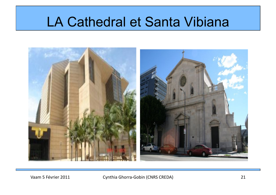## LA Cathedral et Santa Vibiana

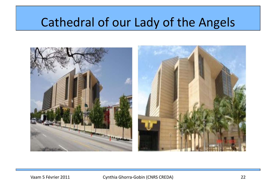## Cathedral of our Lady of the Angels